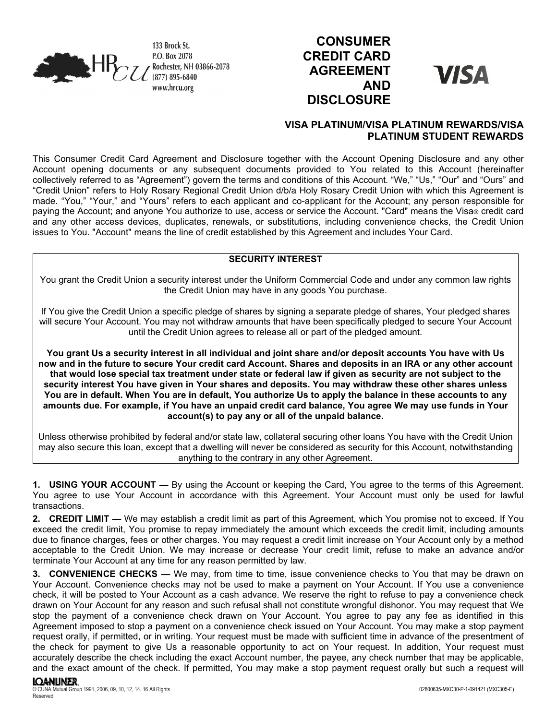

# **CONSUMER CREDIT CARD AGREEMENT AND DISCLOSURE**

**VISA** 

## **VISA PLATINUM/VISA PLATINUM REWARDS/VISA PLATINUM STUDENT REWARDS**

This Consumer Credit Card Agreement and Disclosure together with the Account Opening Disclosure and any other Account opening documents or any subsequent documents provided to You related to this Account (hereinafter collectively referred to as "Agreement") govern the terms and conditions of this Account. "We," "Us," "Our" and "Ours" and "Credit Union" refers to Holy Rosary Regional Credit Union d/b/a Holy Rosary Credit Union with which this Agreement is made. "You," "Your," and "Yours" refers to each applicant and co-applicant for the Account; any person responsible for paying the Account; and anyone You authorize to use, access or service the Account. "Card" means the Visa® credit card and any other access devices, duplicates, renewals, or substitutions, including convenience checks, the Credit Union issues to You. "Account" means the line of credit established by this Agreement and includes Your Card.

## **SECURITY INTEREST**

You grant the Credit Union a security interest under the Uniform Commercial Code and under any common law rights the Credit Union may have in any goods You purchase.

If You give the Credit Union a specific pledge of shares by signing a separate pledge of shares, Your pledged shares will secure Your Account. You may not withdraw amounts that have been specifically pledged to secure Your Account until the Credit Union agrees to release all or part of the pledged amount.

**You grant Us a security interest in all individual and joint share and/or deposit accounts You have with Us now and in the future to secure Your credit card Account. Shares and deposits in an IRA or any other account that would lose special tax treatment under state or federal law if given as security are not subject to the security interest You have given in Your shares and deposits. You may withdraw these other shares unless You are in default. When You are in default, You authorize Us to apply the balance in these accounts to any amounts due. For example, if You have an unpaid credit card balance, You agree We may use funds in Your account(s) to pay any or all of the unpaid balance.** 

Unless otherwise prohibited by federal and/or state law, collateral securing other loans You have with the Credit Union may also secure this loan, except that a dwelling will never be considered as security for this Account, notwithstanding anything to the contrary in any other Agreement.

**1. USING YOUR ACCOUNT —** By using the Account or keeping the Card, You agree to the terms of this Agreement. You agree to use Your Account in accordance with this Agreement. Your Account must only be used for lawful transactions.

**2. CREDIT LIMIT —** We may establish a credit limit as part of this Agreement, which You promise not to exceed. If You exceed the credit limit, You promise to repay immediately the amount which exceeds the credit limit, including amounts due to finance charges, fees or other charges. You may request a credit limit increase on Your Account only by a method acceptable to the Credit Union. We may increase or decrease Your credit limit, refuse to make an advance and/or terminate Your Account at any time for any reason permitted by law.

**3. CONVENIENCE CHECKS —** We may, from time to time, issue convenience checks to You that may be drawn on Your Account. Convenience checks may not be used to make a payment on Your Account. If You use a convenience check, it will be posted to Your Account as a cash advance. We reserve the right to refuse to pay a convenience check drawn on Your Account for any reason and such refusal shall not constitute wrongful dishonor. You may request that We stop the payment of a convenience check drawn on Your Account. You agree to pay any fee as identified in this Agreement imposed to stop a payment on a convenience check issued on Your Account. You may make a stop payment request orally, if permitted, or in writing. Your request must be made with sufficient time in advance of the presentment of the check for payment to give Us a reasonable opportunity to act on Your request. In addition, Your request must accurately describe the check including the exact Account number, the payee, any check number that may be applicable, and the exact amount of the check. If permitted, You may make a stop payment request orally but such a request will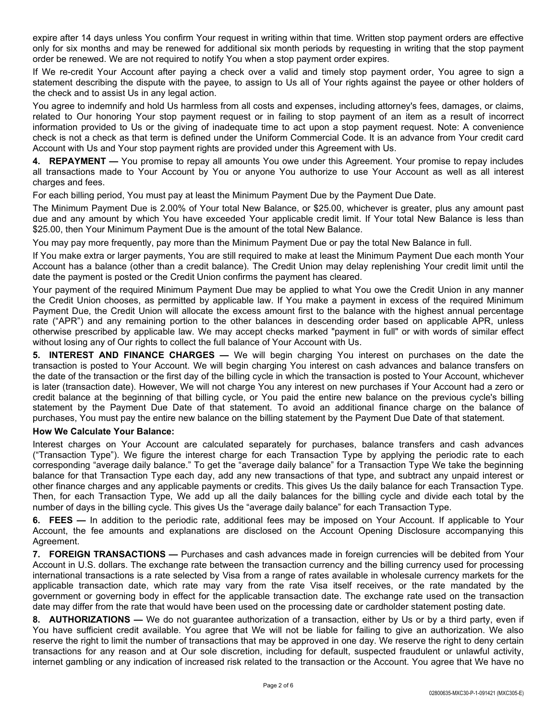expire after 14 days unless You confirm Your request in writing within that time. Written stop payment orders are effective only for six months and may be renewed for additional six month periods by requesting in writing that the stop payment order be renewed. We are not required to notify You when a stop payment order expires.

If We re-credit Your Account after paying a check over a valid and timely stop payment order, You agree to sign a statement describing the dispute with the payee, to assign to Us all of Your rights against the payee or other holders of the check and to assist Us in any legal action.

You agree to indemnify and hold Us harmless from all costs and expenses, including attorney's fees, damages, or claims, related to Our honoring Your stop payment request or in failing to stop payment of an item as a result of incorrect information provided to Us or the giving of inadequate time to act upon a stop payment request. Note: A convenience check is not a check as that term is defined under the Uniform Commercial Code. It is an advance from Your credit card Account with Us and Your stop payment rights are provided under this Agreement with Us.

**4. REPAYMENT —** You promise to repay all amounts You owe under this Agreement. Your promise to repay includes all transactions made to Your Account by You or anyone You authorize to use Your Account as well as all interest charges and fees.

For each billing period, You must pay at least the Minimum Payment Due by the Payment Due Date.

The Minimum Payment Due is 2.00% of Your total New Balance, or \$25.00, whichever is greater, plus any amount past due and any amount by which You have exceeded Your applicable credit limit. If Your total New Balance is less than \$25.00, then Your Minimum Payment Due is the amount of the total New Balance.

You may pay more frequently, pay more than the Minimum Payment Due or pay the total New Balance in full.

If You make extra or larger payments, You are still required to make at least the Minimum Payment Due each month Your Account has a balance (other than a credit balance). The Credit Union may delay replenishing Your credit limit until the date the payment is posted or the Credit Union confirms the payment has cleared.

Your payment of the required Minimum Payment Due may be applied to what You owe the Credit Union in any manner the Credit Union chooses, as permitted by applicable law. If You make a payment in excess of the required Minimum Payment Due, the Credit Union will allocate the excess amount first to the balance with the highest annual percentage rate ("APR") and any remaining portion to the other balances in descending order based on applicable APR, unless otherwise prescribed by applicable law. We may accept checks marked "payment in full" or with words of similar effect without losing any of Our rights to collect the full balance of Your Account with Us.

**5. INTEREST AND FINANCE CHARGES —** We will begin charging You interest on purchases on the date the transaction is posted to Your Account. We will begin charging You interest on cash advances and balance transfers on the date of the transaction or the first day of the billing cycle in which the transaction is posted to Your Account, whichever is later (transaction date). However, We will not charge You any interest on new purchases if Your Account had a zero or credit balance at the beginning of that billing cycle, or You paid the entire new balance on the previous cycle's billing statement by the Payment Due Date of that statement. To avoid an additional finance charge on the balance of purchases, You must pay the entire new balance on the billing statement by the Payment Due Date of that statement.

## **How We Calculate Your Balance:**

Interest charges on Your Account are calculated separately for purchases, balance transfers and cash advances ("Transaction Type"). We figure the interest charge for each Transaction Type by applying the periodic rate to each corresponding "average daily balance." To get the "average daily balance" for a Transaction Type We take the beginning balance for that Transaction Type each day, add any new transactions of that type, and subtract any unpaid interest or other finance charges and any applicable payments or credits. This gives Us the daily balance for each Transaction Type. Then, for each Transaction Type, We add up all the daily balances for the billing cycle and divide each total by the number of days in the billing cycle. This gives Us the "average daily balance" for each Transaction Type.

**6. FEES —** In addition to the periodic rate, additional fees may be imposed on Your Account. If applicable to Your Account, the fee amounts and explanations are disclosed on the Account Opening Disclosure accompanying this Agreement.

**7. FOREIGN TRANSACTIONS —** Purchases and cash advances made in foreign currencies will be debited from Your Account in U.S. dollars. The exchange rate between the transaction currency and the billing currency used for processing international transactions is a rate selected by Visa from a range of rates available in wholesale currency markets for the applicable transaction date, which rate may vary from the rate Visa itself receives, or the rate mandated by the government or governing body in effect for the applicable transaction date. The exchange rate used on the transaction date may differ from the rate that would have been used on the processing date or cardholder statement posting date.

**8. AUTHORIZATIONS —** We do not guarantee authorization of a transaction, either by Us or by a third party, even if You have sufficient credit available. You agree that We will not be liable for failing to give an authorization. We also reserve the right to limit the number of transactions that may be approved in one day. We reserve the right to deny certain transactions for any reason and at Our sole discretion, including for default, suspected fraudulent or unlawful activity, internet gambling or any indication of increased risk related to the transaction or the Account. You agree that We have no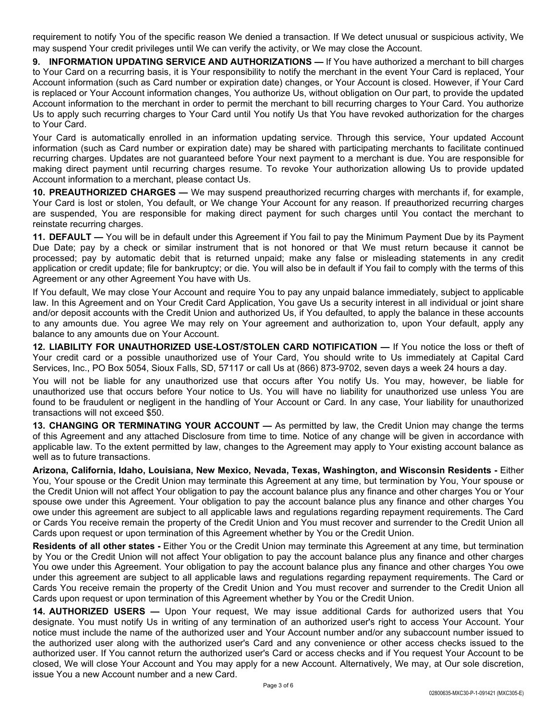requirement to notify You of the specific reason We denied a transaction. If We detect unusual or suspicious activity, We may suspend Your credit privileges until We can verify the activity, or We may close the Account.

**9. INFORMATION UPDATING SERVICE AND AUTHORIZATIONS —** If You have authorized a merchant to bill charges to Your Card on a recurring basis, it is Your responsibility to notify the merchant in the event Your Card is replaced, Your Account information (such as Card number or expiration date) changes, or Your Account is closed. However, if Your Card is replaced or Your Account information changes, You authorize Us, without obligation on Our part, to provide the updated Account information to the merchant in order to permit the merchant to bill recurring charges to Your Card. You authorize Us to apply such recurring charges to Your Card until You notify Us that You have revoked authorization for the charges to Your Card.

Your Card is automatically enrolled in an information updating service. Through this service, Your updated Account information (such as Card number or expiration date) may be shared with participating merchants to facilitate continued recurring charges. Updates are not guaranteed before Your next payment to a merchant is due. You are responsible for making direct payment until recurring charges resume. To revoke Your authorization allowing Us to provide updated Account information to a merchant, please contact Us.

**10. PREAUTHORIZED CHARGES —** We may suspend preauthorized recurring charges with merchants if, for example, Your Card is lost or stolen, You default, or We change Your Account for any reason. If preauthorized recurring charges are suspended, You are responsible for making direct payment for such charges until You contact the merchant to reinstate recurring charges.

**11. DEFAULT —** You will be in default under this Agreement if You fail to pay the Minimum Payment Due by its Payment Due Date; pay by a check or similar instrument that is not honored or that We must return because it cannot be processed; pay by automatic debit that is returned unpaid; make any false or misleading statements in any credit application or credit update; file for bankruptcy; or die. You will also be in default if You fail to comply with the terms of this Agreement or any other Agreement You have with Us.

If You default, We may close Your Account and require You to pay any unpaid balance immediately, subject to applicable law. In this Agreement and on Your Credit Card Application, You gave Us a security interest in all individual or joint share and/or deposit accounts with the Credit Union and authorized Us, if You defaulted, to apply the balance in these accounts to any amounts due. You agree We may rely on Your agreement and authorization to, upon Your default, apply any balance to any amounts due on Your Account.

**12. LIABILITY FOR UNAUTHORIZED USE-LOST/STOLEN CARD NOTIFICATION —** If You notice the loss or theft of Your credit card or a possible unauthorized use of Your Card, You should write to Us immediately at Capital Card Services, Inc., PO Box 5054, Sioux Falls, SD, 57117 or call Us at (866) 873-9702, seven days a week 24 hours a day.

You will not be liable for any unauthorized use that occurs after You notify Us. You may, however, be liable for unauthorized use that occurs before Your notice to Us. You will have no liability for unauthorized use unless You are found to be fraudulent or negligent in the handling of Your Account or Card. In any case, Your liability for unauthorized transactions will not exceed \$50.

**13. CHANGING OR TERMINATING YOUR ACCOUNT —** As permitted by law, the Credit Union may change the terms of this Agreement and any attached Disclosure from time to time. Notice of any change will be given in accordance with applicable law. To the extent permitted by law, changes to the Agreement may apply to Your existing account balance as well as to future transactions.

**Arizona, California, Idaho, Louisiana, New Mexico, Nevada, Texas, Washington, and Wisconsin Residents -** Either You, Your spouse or the Credit Union may terminate this Agreement at any time, but termination by You, Your spouse or the Credit Union will not affect Your obligation to pay the account balance plus any finance and other charges You or Your spouse owe under this Agreement. Your obligation to pay the account balance plus any finance and other charges You owe under this agreement are subject to all applicable laws and regulations regarding repayment requirements. The Card or Cards You receive remain the property of the Credit Union and You must recover and surrender to the Credit Union all Cards upon request or upon termination of this Agreement whether by You or the Credit Union.

**Residents of all other states -** Either You or the Credit Union may terminate this Agreement at any time, but termination by You or the Credit Union will not affect Your obligation to pay the account balance plus any finance and other charges You owe under this Agreement. Your obligation to pay the account balance plus any finance and other charges You owe under this agreement are subject to all applicable laws and regulations regarding repayment requirements. The Card or Cards You receive remain the property of the Credit Union and You must recover and surrender to the Credit Union all Cards upon request or upon termination of this Agreement whether by You or the Credit Union.

**14. AUTHORIZED USERS —** Upon Your request, We may issue additional Cards for authorized users that You designate. You must notify Us in writing of any termination of an authorized user's right to access Your Account. Your notice must include the name of the authorized user and Your Account number and/or any subaccount number issued to the authorized user along with the authorized user's Card and any convenience or other access checks issued to the authorized user. If You cannot return the authorized user's Card or access checks and if You request Your Account to be closed, We will close Your Account and You may apply for a new Account. Alternatively, We may, at Our sole discretion, issue You a new Account number and a new Card.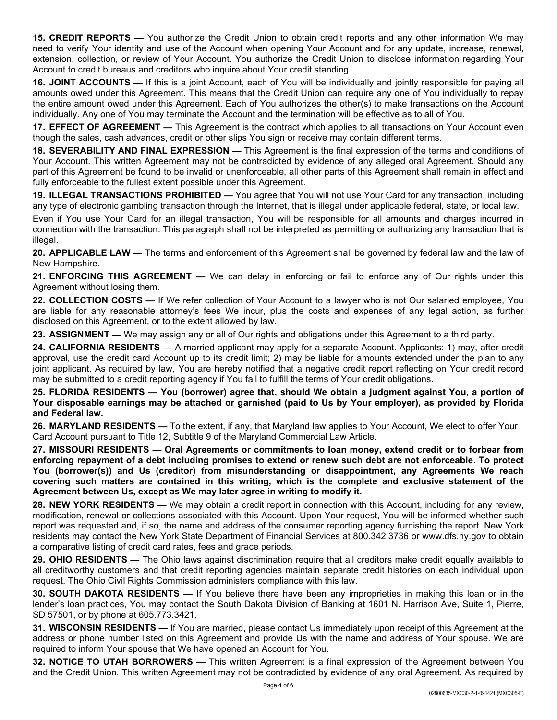**15. CREDIT REPORTS —** You authorize the Credit Union to obtain credit reports and any other information We may need to verify Your identity and use of the Account when opening Your Account and for any update, increase, renewal, extension, collection, or review of Your Account. You authorize the Credit Union to disclose information regarding Your Account to credit bureaus and creditors who inquire about Your credit standing.

**16. JOINT ACCOUNTS —** If this is a joint Account, each of You will be individually and jointly responsible for paying all amounts owed under this Agreement. This means that the Credit Union can require any one of You individually to repay the entire amount owed under this Agreement. Each of You authorizes the other(s) to make transactions on the Account individually. Any one of You may terminate the Account and the termination will be effective as to all of You.

**17. EFFECT OF AGREEMENT —** This Agreement is the contract which applies to all transactions on Your Account even though the sales, cash advances, credit or other slips You sign or receive may contain different terms.

**18. SEVERABILITY AND FINAL EXPRESSION —** This Agreement is the final expression of the terms and conditions of Your Account. This written Agreement may not be contradicted by evidence of any alleged oral Agreement. Should any part of this Agreement be found to be invalid or unenforceable, all other parts of this Agreement shall remain in effect and fully enforceable to the fullest extent possible under this Agreement.

**19. ILLEGAL TRANSACTIONS PROHIBITED —** You agree that You will not use Your Card for any transaction, including any type of electronic gambling transaction through the Internet, that is illegal under applicable federal, state, or local law.

Even if You use Your Card for an illegal transaction, You will be responsible for all amounts and charges incurred in connection with the transaction. This paragraph shall not be interpreted as permitting or authorizing any transaction that is illegal.

**20. APPLICABLE LAW —** The terms and enforcement of this Agreement shall be governed by federal law and the law of New Hampshire.

**21. ENFORCING THIS AGREEMENT —** We can delay in enforcing or fail to enforce any of Our rights under this Agreement without losing them.

**22. COLLECTION COSTS —** If We refer collection of Your Account to a lawyer who is not Our salaried employee, You are liable for any reasonable attorney's fees We incur, plus the costs and expenses of any legal action, as further disclosed on this Agreement, or to the extent allowed by law.

**23. ASSIGNMENT —** We may assign any or all of Our rights and obligations under this Agreement to a third party.

**24. CALIFORNIA RESIDENTS —** A married applicant may apply for a separate Account. Applicants: 1) may, after credit approval, use the credit card Account up to its credit limit; 2) may be liable for amounts extended under the plan to any joint applicant. As required by law, You are hereby notified that a negative credit report reflecting on Your credit record may be submitted to a credit reporting agency if You fail to fulfill the terms of Your credit obligations.

**25. FLORIDA RESIDENTS — You (borrower) agree that, should We obtain a judgment against You, a portion of Your disposable earnings may be attached or garnished (paid to Us by Your employer), as provided by Florida and Federal law.**

**26. MARYLAND RESIDENTS —** To the extent, if any, that Maryland law applies to Your Account, We elect to offer Your Card Account pursuant to Title 12, Subtitle 9 of the Maryland Commercial Law Article.

**27. MISSOURI RESIDENTS — Oral Agreements or commitments to loan money, extend credit or to forbear from enforcing repayment of a debt including promises to extend or renew such debt are not enforceable. To protect You (borrower(s)) and Us (creditor) from misunderstanding or disappointment, any Agreements We reach covering such matters are contained in this writing, which is the complete and exclusive statement of the Agreement between Us, except as We may later agree in writing to modify it.**

**28. NEW YORK RESIDENTS —** We may obtain a credit report in connection with this Account, including for any review, modification, renewal or collections associated with this Account. Upon Your request, You will be informed whether such report was requested and, if so, the name and address of the consumer reporting agency furnishing the report. New York residents may contact the New York State Department of Financial Services at 800.342.3736 or www.dfs.ny.gov to obtain a comparative listing of credit card rates, fees and grace periods.

**29. OHIO RESIDENTS —** The Ohio laws against discrimination require that all creditors make credit equally available to all creditworthy customers and that credit reporting agencies maintain separate credit histories on each individual upon request. The Ohio Civil Rights Commission administers compliance with this law.

**30. SOUTH DAKOTA RESIDENTS —** If You believe there have been any improprieties in making this loan or in the lender's loan practices, You may contact the South Dakota Division of Banking at 1601 N. Harrison Ave, Suite 1, Pierre, SD 57501, or by phone at 605.773.3421.

**31. WISCONSIN RESIDENTS —** If You are married, please contact Us immediately upon receipt of this Agreement at the address or phone number listed on this Agreement and provide Us with the name and address of Your spouse. We are required to inform Your spouse that We have opened an Account for You.

**32. NOTICE TO UTAH BORROWERS —** This written Agreement is a final expression of the Agreement between You and the Credit Union. This written Agreement may not be contradicted by evidence of any oral Agreement. As required by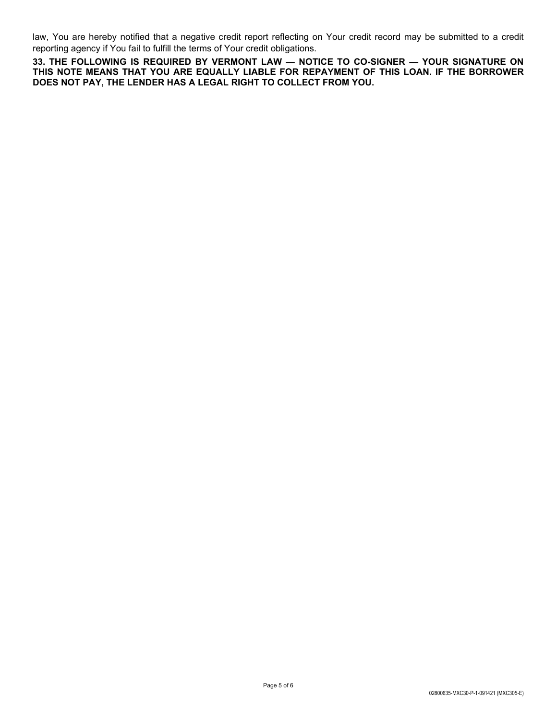law, You are hereby notified that a negative credit report reflecting on Your credit record may be submitted to a credit reporting agency if You fail to fulfill the terms of Your credit obligations.

**33. THE FOLLOWING IS REQUIRED BY VERMONT LAW — NOTICE TO CO-SIGNER — YOUR SIGNATURE ON THIS NOTE MEANS THAT YOU ARE EQUALLY LIABLE FOR REPAYMENT OF THIS LOAN. IF THE BORROWER DOES NOT PAY, THE LENDER HAS A LEGAL RIGHT TO COLLECT FROM YOU.**